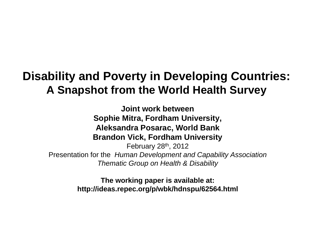### **Disability and Poverty in Developing Countries: A Snapshot from the World Health Survey**

**Joint work between Sophie Mitra, Fordham University, Aleksandra Posarac, World Bank Brandon Vick, Fordham University** February  $28<sup>th</sup>$ , 2012 Presentation for the *Human Development and Capability Association* **Thematic Group on Health & Disability** 

> **The working paper is available at: http://ideas.repec.org/p/wbk/hdnspu/62564.html**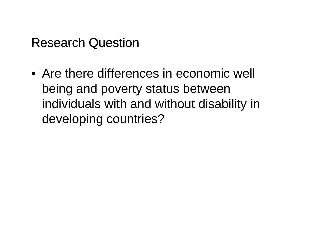### Research Question

• Are there differences in economic well being and poverty status between individuals with and without disability in developing countries?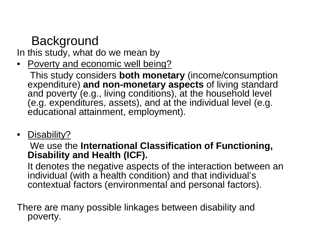# **Background**

In this study, what do we mean by

• Poverty and economic well being?

This study considers **both monetary** (income/consumption expenditure) **and non-monetary aspects** of living standard and poverty (e.g., living conditions), at the household level  $(e.g.,)$  expenditures, assets), and at the individual level  $(e.g.,)$ educational attainment, employment).

• Disability?

### We use the **International Classification of Functioning, Disability and Health (ICF).**

It denotes the negative aspects of the interaction between an individual (with a health condition) and that individual's contextual factors (environmental and personal factors).

There are many possible linkages between disability and poverty.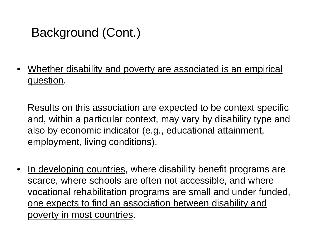## Background (Cont.)

• Whether disability and poverty are associated is an empirical question.

Results on this association are expected to be context specific and, within a particular context, may vary by disability type and also by economic indicator (e.g., educational attainment, employment, living conditions).

•In developing countries, where disability benefit programs are scarce, where schools are often not accessible, and where vocational rehabilitation programs are small and under funded, one expects to find an association between disability and poverty in most countries.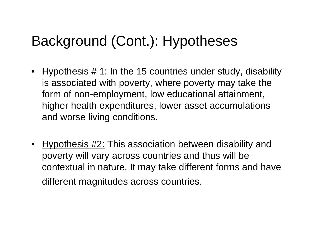# Background (Cont.): Hypotheses

- Hypothesis # 1: In the 15 countries under study, disability is associated with poverty, where poverty may take the form of non-employment, low educational attainment, higher health expenditures, lower asset accumulations and worse living conditions.
- Hypothesis #2: This association between disability and poverty will vary across countries and thus will be contextual in nature. It may take different forms and have different magnitudes across countries.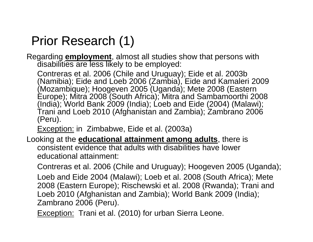### Prior Research (1)

Regarding **employment**, almost all studies show that persons with disabilities are less likely to be employed:

Contreras et al. 2006 (Chile and Uruguay); Eide et al. 2003b (Namibia); Eide and Loeb 2006 (Zambia), Eide and Kamaleri 2009 (Mozambique); Hoogeven 2005 (Uganda); Mete 2008 (Eastern Europe); Mitra 2008 (South Africa); Mitra and Sambamoorthi 2008 (India); World Bank 2009 (India); Loeb and Eide (2004) (Malawi); Trani and Loeb 2010 (Afghanistan and Zambia); Zambrano 2006 (Peru).

Exception: in Zimbabwe, Eide et al. (2003a)

Looking at the **educational attainment among adults**, there is consistent evidence that adults with disabilities have lower educational attainment:

Contreras et al. 2006 (Chile and Uruguay); Hoogeven 2005 (Uganda);

Loeb and Eide 2004 (Malawi); Loeb et al. 2008 (South Africa); Mete 2008 (Eastern Europe); Rischewski et al. 2008 (Rwanda); Trani and Loeb 2010 (Afghanistan and Zambia); World Bank 2009 (India); Zambrano 2006 (Peru).

Exception: Trani et al. (2010) for urban Sierra Leone.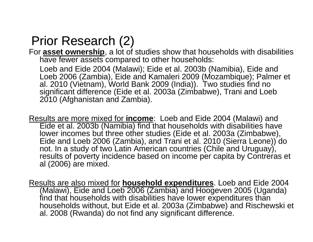### Prior Research (2)

For **asset ownership**, a lot of studies show that households with disabilities have fewer assets compared to other households:

Loeb and Eide 2004 (Malawi); Eide et al. 2003b (Namibia), Eide and Loeb 2006 (Zambia), Eide and Kamaleri 2009 (Mozambique); Palmer et al. 2010 (Vietnam), World Bank 2009 (India)). Two studies find no significant difference (Eide et al. 2003a (Zimbabwe), Trani and Loeb 2010 (Afghanistan and Zambia).

Results are more mixed for **income**: Loeb and Eide 2004 (Malawi) and Eide et al. 2003b (Namibia) find that households with disabilities have lower incomes but three other studies (Eide et al. 2003a (Zimbabwe), Eide and Loeb 2006 (Zambia), and Trani et al. 2010 (Sierra Leone)) do not. In a study of two Latin American countries (Chile and Uruguay), results of poverty incidence based on income per capita by Contreras et al (2006) are mixed.

Results are also mixed for **household expenditures**. Loeb and Eide 2004 (Malawi), Eide and Loeb 2006 (Zambia) and Hoogeven 2005 (Uganda) find that households with disabilities have lower expenditures than households without, but Eide et al. 2003a (Zimbabwe) and Rischewski et al. 2008 (Rwanda) do not find any significant difference.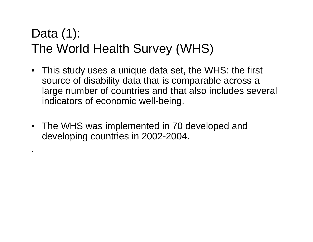# Data (1): The World Health Survey (WHS)

- This study uses a unique data set, the WHS: the first source of disability data that is comparable across a large number of countries and that also includes several indicators of economic well-being.
- The WHS was implemented in 70 developed and developing countries in 2002-2004.

.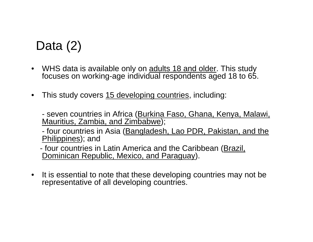### Data (2)

- WHS data is available only on adults 18 and older. This study focuses on working age individual respondents aged 18 to 65 working-age 65.
- $\bullet$ This study covers 15 developing countries, including:

seven countries in Africa (<u>Burkina Faso, Ghana, Kenya, Malawi,</u> Mauritius, Zambia, and Zimbabwe);

four countries in Asia (Bangladesh, Lao PDR, Pakistan, and the <u>Philippines</u>); and

four countries in Latin America and the Caribbean (Brazil, Dominican Republic, Mexico, and Paraguay).

 $\bullet$  It is essential to note that these developing countries may not be representative of all developing countries.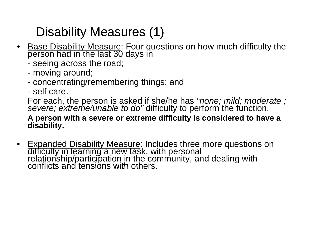# Disability Measures (1)

- •• Base Disability Measure: Four questions on how much difficulty th <u>Base Disability Measure</u>: Four questions on how much difficulty the<br>person had in the last 30 days in
	- seeing across the road;
	- moving around;
	- concentrating/remembering things; and
	- self care.

For each, the person is asked if she/he has *"none; mild; moderate ; severe; extreme/unable to do"* difficulty to perform the function.

#### **A person with a severe or extreme difficulty is considered to have a disability.**

•<u>Expanded Disability Measure</u>: Includes three more questions on<br>difficulty in learning a new task, with personal<br>relationship/participation in the community, and dealing with<br>conflicts and tensions with others.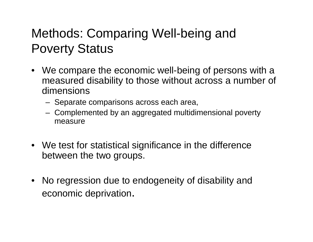### Methods: Comparing Well-being and Poverty Status

- We compare the economic well-being of persons with a measured disability to those without across a number of dimensions
	- Separate comparisons across each area,
	- Complemented by an aggregated multidimensional poverty measure
- We test for statistical significance in the difference between the two groups.
- No regression due to endogeneity of disability and economic de privation.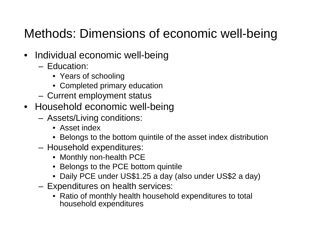# Methods: Dimensions of economic well-being

- Individual economic well-being
	- Education:
		- Years of schooling
		- Completed primary education
	- –Current employment status
- $\bullet~$  Household economic well-being
	- – Assets/Living conditions:
		- Asset index
		- Belongs to the bottom quintile of the asset index distribution
	- – Household expenditures:
		- Monthly non-health PCE
		- Belongs to the PCE bottom quintile
		- Daily PCE under US\$1.25 a day (also under US\$2 a day)
	- – Expenditures on health services:
		- $\bullet~$  Ratio of monthly health household expenditures to total household expenditures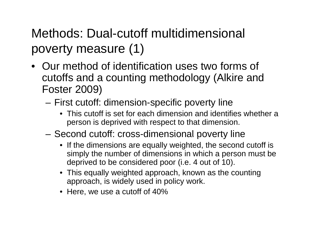# Methods: Dual-cutoff multidimensional poverty measure (1)

- Our method of identification uses two forms of cutoffs and a counting methodology (Alkire and Foster 2009)
	- First cutoff: dimension-specific poverty line
		- This cutoff is set for each dimension and identifies whether a person is deprived with respect to that dimension.
	- $-$  Second cutoff: cross-dimensional poverty line
		- If the dimensions are equally weighted, the second cutoff is simply the number of dimensions in which a person must be deprived to be considered poor (i.e. 4 out of 10).
		- This equally weighted approach, known as the counting approach, is widely used in policy work.
		- Here, we use a cutoff of 40%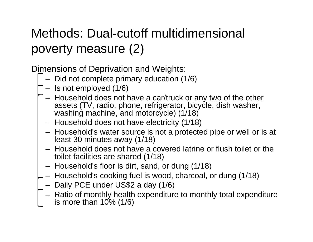# Methods: Dual-cutoff multidimensional POVerty measure (2)<br>Dimensions of Deprivation ar

Dimensions of Deprivation and Weights:

- Did not complete primary education (1/6)
- Is not employed (1/6)
- Household does not have a car/truck or any two of the other assets (TV, radio, phone, refrigerator, bicycle, dish washer, washing machine, and motorcycle) (1/18)
- Household does not have electricity (1/18)
- Household's water source is not a protected pipe or well or is at least 30 minutes away (1/18)
- Household does not have a covered latrine or flush toilet or the toilet facilities are shared (1/18)
- Household's floor is dirt, sand, or dung (1/18)
- Household's cooking fuel is wood, charcoal, or dung (1/18)
- Daily PCE under US\$2 a day (1/6)
- Ratio of monthly health expenditure to monthly total expenditure is more than  $10\%$  ( $1/6$ )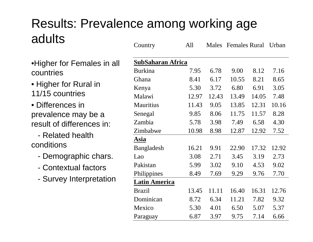### Results: Prevalence among working age adultsCountry All Males Females Rural Urban

- •Higher for Females in all countries
- Higher for Rural in 11/15 countries
- Differences inprevalence may be a result of differences in:
- Related health conditions
	- Demographic chars.
	- Contextual factors -
	- Survey Interpretation

|                 | COUIILI Y                | H <sub>11</sub> |       | Marcs Felliares Nuital |       | UTUAII |  |
|-----------------|--------------------------|-----------------|-------|------------------------|-------|--------|--|
| Females in all  | <b>SubSaharan Africa</b> |                 |       |                        |       |        |  |
|                 | <b>Burkina</b>           | 7.95            | 6.78  | 9.00                   | 8.12  | 7.16   |  |
|                 | Ghana                    | 8.41            | 6.17  | 10.55                  | 8.21  | 8.65   |  |
| <b>Rural</b> in | Kenya                    | 5.30            | 3.72  | 6.80                   | 6.91  | 3.05   |  |
| ries            | Malawi                   | 12.97           | 12.43 | 13.49                  | 14.05 | 7.48   |  |
| s in            | <b>Mauritius</b>         | 11.43           | 9.05  | 13.85                  | 12.31 | 10.16  |  |
| may be a        | Senegal                  | 9.85            | 8.06  | 11.75                  | 11.57 | 8.28   |  |
| erences in:     | Zambia                   | 5.78            | 3.98  | 7.49                   | 6.58  | 4.30   |  |
| health          | Zimbabwe                 | 10.98           | 8.98  | 12.87                  | 12.92 | 7.52   |  |
|                 | Asia                     |                 |       |                        |       |        |  |
|                 | Bangladesh               | 16.21           | 9.91  | 22.90                  | 17.32 | 12.92  |  |
| aphic chars.    | Lao                      | 3.08            | 2.71  | 3.45                   | 3.19  | 2.73   |  |
| ual factors     | Pakistan                 | 5.99            | 3.02  | 9.10                   | 4.53  | 9.02   |  |
| nterpretation   | Philippines              | 8.49            | 7.69  | 9.29                   | 9.76  | 7.70   |  |
|                 | <b>Latin America</b>     |                 |       |                        |       |        |  |
|                 | <b>Brazil</b>            | 13.45           | 11.11 | 16.40                  | 16.31 | 12.76  |  |
|                 | Dominican                | 8.72            | 6.34  | 11.21                  | 7.82  | 9.32   |  |
|                 | Mexico                   | 5.30            | 4.01  | 6.50                   | 5.07  | 5.37   |  |
|                 | Paraguay                 | 6.87            | 3.97  | 9.75                   | 7.14  | 6.66   |  |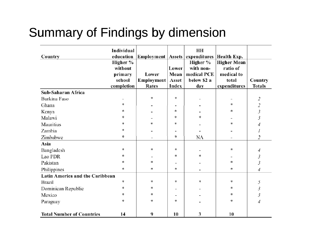# Summary of Findings by dimension

| Country                          | Individual<br>education |            |       | HН<br>Employment   Assets   expenditures | <b>Health Exp.</b>             |                             |
|----------------------------------|-------------------------|------------|-------|------------------------------------------|--------------------------------|-----------------------------|
|                                  | Higher %<br>without     |            | Lower | Higher %<br>with non-                    | <b>Higher Mean</b><br>ratio of |                             |
|                                  | primary                 | Lower      | Mean  | medical PCE                              | medical to                     |                             |
|                                  | school                  | Employment | Asset | below \$2 a                              | total                          | Country                     |
|                                  | completion              | Rates      | Index | day                                      | expenditures                   | <b>Totals</b>               |
| Sub-Saharan Africa               |                         |            |       |                                          |                                |                             |
| Burkina Faso                     |                         | *          | *     |                                          |                                | 2                           |
| Ghana                            | 家                       |            |       |                                          | ×.                             | $\mathcal{Z}_{\mathcal{C}}$ |
| Kenya                            | *                       |            | ŵ.    |                                          | 水                              | 3                           |
| Malawi                           | *                       |            | *     |                                          |                                | 3                           |
| Mauritius                        | *                       | *          | *     |                                          | ×.                             | 4                           |
| Zambia                           | *                       |            |       |                                          |                                | 1                           |
| Zimbabwe                         | 索                       |            | 宴     | NA                                       |                                | 2                           |
| Asia                             |                         |            |       |                                          |                                |                             |
| Bangladesh                       | *                       | *          | *     |                                          | *                              | 4                           |
| Lao PDR                          | 8.                      |            | \$.   | ×.                                       |                                | 3                           |
| Pakistan                         | *                       | *          |       |                                          | sk.                            | 3                           |
| Philippines                      | 家                       | 家          | ż.    |                                          | *                              | 4                           |
| Latin America and the Caribbean  |                         |            |       |                                          |                                |                             |
| <b>Brazil</b>                    | ∗                       | *          | *     | *                                        | *                              | 5                           |
| Dominican Republic               | *                       | *          |       |                                          | *                              | 3                           |
| Mexico                           | 责                       | *          |       |                                          | *                              | 3                           |
| Paraguay                         | *                       | *          | *.    |                                          | ×.                             | 4                           |
| <b>Total Number of Countries</b> | 14                      | 9          | 10    | 3                                        | 10                             |                             |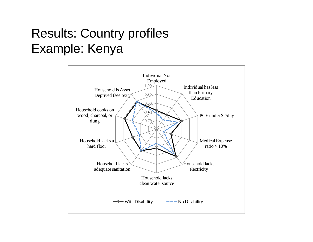## Results: Country profiles Example: Kenya

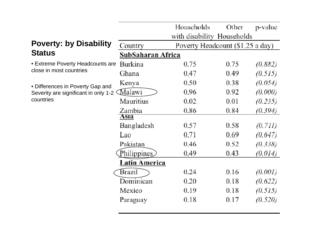|                                                                                       |                   | Households                       | Other | p-value |  |  |
|---------------------------------------------------------------------------------------|-------------------|----------------------------------|-------|---------|--|--|
|                                                                                       |                   | with disability Households       |       |         |  |  |
| <b>Poverty: by Disability</b>                                                         | Country           | Poverty Headcount (\$1.25 a day) |       |         |  |  |
| <b>Status</b>                                                                         | SubSaharan Africa |                                  |       |         |  |  |
| • Extreme Poverty Headcounts are<br>close in most countries                           | Burkina           | 0.75                             | 0.75  | (0.882) |  |  |
|                                                                                       | Ghana             | 0.47                             | 0.49  | (0.515) |  |  |
| • Differences in Poverty Gap and<br>Severity are significant in only 1-2<br>countries | Kenya             | 0.50                             | 0.38  | (0.054) |  |  |
|                                                                                       | Malawi            | 0.96                             | 0.92  | (0.000) |  |  |
|                                                                                       | Mauritius         | 0.02                             | 0.01  | (0.235) |  |  |
|                                                                                       | Zambia            | 0.86                             | 0.84  | (0.394) |  |  |
|                                                                                       | Asıa              |                                  |       |         |  |  |
|                                                                                       | Bangladesh        | 0.57                             | 0.58  | (0.711) |  |  |
|                                                                                       | Lao               | 0.71                             | 0.69  | (0.647) |  |  |
|                                                                                       | Pakistan          | 0.46                             | 0.52  | (0.338) |  |  |
|                                                                                       | Philippines       | 0.49                             | 0.43  | (0.014) |  |  |
|                                                                                       | Latin America     |                                  |       |         |  |  |
|                                                                                       | Brazil            | 0.24                             | 0.16  | (0.001) |  |  |
|                                                                                       | Dominican         | 0.20                             | 0.18  | (0.622) |  |  |
|                                                                                       | Mexico            | 0.19                             | 0.18  | (0.515) |  |  |
|                                                                                       | Paraguay          | 0.18                             | 0.17  | (0.520) |  |  |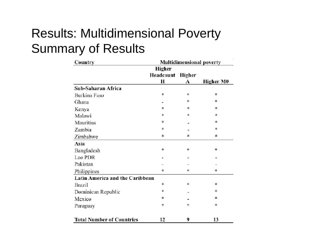### Results: Multidimensional Poverty Summary of Results

| Country                          | <b>Multidimensional poverty</b> |        |                  |  |  |
|----------------------------------|---------------------------------|--------|------------------|--|--|
|                                  | Higher                          |        |                  |  |  |
|                                  | Headcount                       | Higher |                  |  |  |
|                                  | Н                               | A      | <b>Higher M0</b> |  |  |
| Sub-Saharan Africa               |                                 |        |                  |  |  |
| Burkina Faso                     | *                               | *      | 柬                |  |  |
| Ghana                            |                                 | 玄      | ÷.               |  |  |
| Kenya                            | 壹                               | 柬      | *                |  |  |
| Malawi                           | 妻                               | *      | *                |  |  |
| Mauritius                        | *                               |        | *                |  |  |
| Zambia                           | *                               |        | *                |  |  |
| Zimbabwe                         | ż.                              | 嵓      | 嵩                |  |  |
| Asia                             |                                 |        |                  |  |  |
| Bangladesh                       | 宴                               | 宴      | 家                |  |  |
| Lao PDR                          |                                 |        |                  |  |  |
| Pakistan                         |                                 |        |                  |  |  |
| Philippines                      | 寠                               | *      | *                |  |  |
| Latin America and the Caribbean  |                                 |        |                  |  |  |
| <b>Brazil</b>                    | *                               | *      | *                |  |  |
| Dominican Republic               | *                               |        | *                |  |  |
| Mexico                           | 愙                               |        | 宴                |  |  |
| Paraguay                         | ż                               | ×.     | *                |  |  |
| <b>Total Number of Countries</b> | 12                              | 9      | 13               |  |  |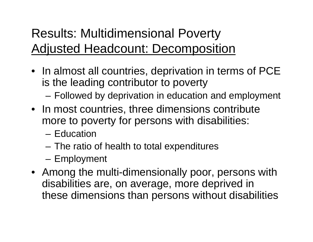# Results: Multidimensional Poverty <u>Adjusted Headcount: Decomposition</u>

- In almost all countries, deprivation in terms of PCE is the leading contributor to poverty
	- Followed by deprivation in education and employment
- In most countries, three dimensions contribute more to poverty for persons with disabilities:
	- Education
	- –The ratio of health to total expenditures
	- Employment
- Among the multi-dimensionally poor, persons with disabilities are, on average, more deprived in these dimensions than persons without disabilities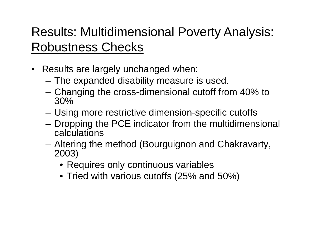# Results: Multidimensional Poverty Analysis: Robustness Checks

- Results are largely unchanged when:
	- The expanded disability measure is used.
	- Changing the cross-dimensional cutoff from 40% to 30%
	- Using more restrictive dimension-specific cutoffs
	- Dropping the PCE indicator from the multidimensional calculations
	- Altering the method (Bourguignon and Chakravarty, 2003)
		- Requires only continuous variables
		- Tried with various cutoffs (25% and 50%)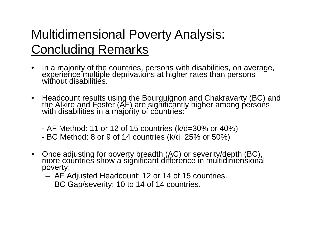# Multidimensional Poverty Analysis: C oncluding Remarks

- $\bullet$ In a majority of the countries, persons with disabilities, on average,<br>experience multiple deprivations at higher rates than persons experience multiple deprivations at higher rates than person<br>without disabilities.
- Headcount results using the Bourguignon and Chakravarty (BC) and<br>the Alkire and Foster (AF) are significantly higher among persons<br>with disabilities in a majority of countries:
	- AF Method: 11 or 12 of 15 countries (k/d=30% or 40%)
	- BC Method: 8 or 9 of 14 countries (k/d=25% or 50%)
- Once adjusting for poverty breadth (AC) or severity/depth (BC), more countries show a significant difference in multidimensional poverty:
	- AF Adjusted Headcount: 12 or 14 of 15 countries.
	- BC Gap/severity: 10 to 14 of 14 countries.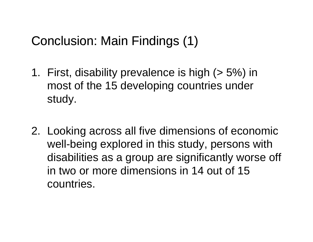### Conclusion: Main Findings (1)

- 1. First, disability prevalence is high ( > 5%) in most of the 15 developing countries under study.
- 2. Lookin g across all five dimensions of economic well-being explored in this study, persons with disabilities as a group are significantly worse off in two or more dimensions in 14 out of 15 i countries.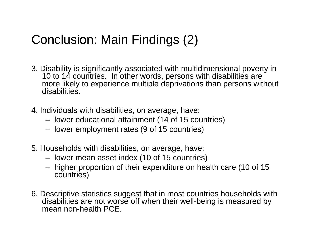### Conclusion: Main Findings (2)

- 3. Disability is significantly associated with multidimensional poverty in 10 to 14 countries. In other words, persons with disabilities are more likely to experience multiple deprivations than persons without disabilities.
- 4. Individuals with disabilities, on average, have:
	- lower educational attainment (14 of 15 countries)
	- lower employment rates (9 of 15 countries)
- 5. Households with disabilities, on average, have:
	- lower mean asset index (10 of 15 countries)
	- $-$  higher proportion of their expenditure on health care (10 of 15  $\,$ countries)
- 6. Descriptive statistics suggest that in most countries households with disabilities are not worse off when their well-being is measured by mean non-health PCF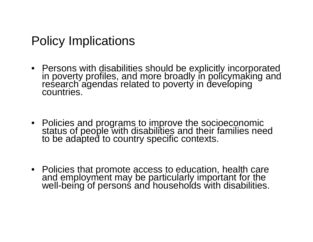### Policy Implications

- Persons with disabilities should be explicitly incorporated in poverty profiles and more broadly in policymaking and Persons with disabilities should be explicitly incorporate<br>in poverty profiles, and more broadly in policymaking an<br>research agendas related to poverty in developing<br>countries.
- Policies and programs to improve the socioeconomic<br>status of people with disabilities and their families need<br>to be adapted to country specific contexts.
- Policies that promote access to education, health care<br>and employment may be particularly important for the<br>well-being of persons and households with disabilities.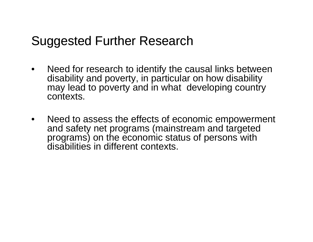### Suggested Further Research

- • Need for research to identify the causal links between disability and poverty, in particular on how disability may lead to poverty and in what developing country contexts.
- $\bullet$  Need to assess the effects of economic empowerment and safety net programs (mainstream and targeted programs) on the economic status of persons with disabilities in different contexts.